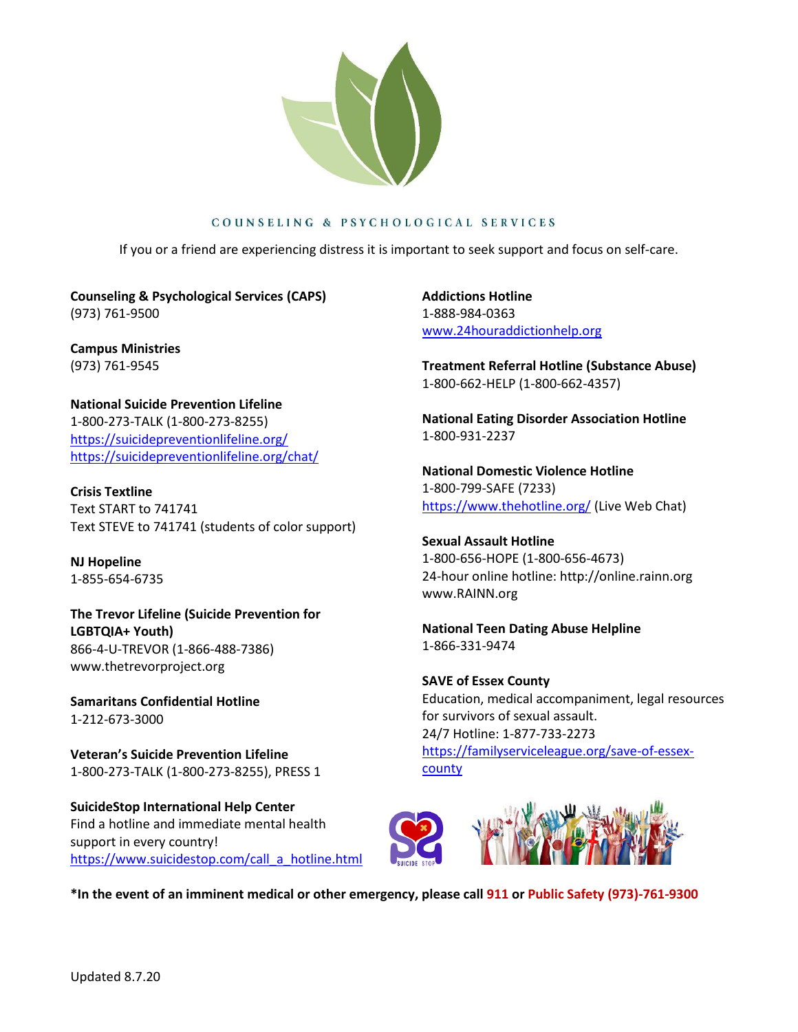

## COUNSELING & PSYCHOLOGICAL SERVICES

If you or a friend are experiencing distress it is important to seek support and focus on self-care.

**Counseling & Psychological Services (CAPS)** (973) 761-9500

**Campus Ministries**  (973) 761-9545

**National Suicide Prevention Lifeline** 1-800-273-TALK (1-800-273-8255) <https://suicidepreventionlifeline.org/> <https://suicidepreventionlifeline.org/chat/>

**Crisis Textline** Text START to 741741 Text STEVE to 741741 (students of color support)

**NJ Hopeline** 1-855-654-6735

**The Trevor Lifeline (Suicide Prevention for LGBTQIA+ Youth)** 866-4-U-TREVOR (1-866-488-7386) [www.thetrevorproject.org](http://www.thetrevorproject.org/)

**Samaritans Confidential Hotline** 1-212-673-3000

**Veteran's Suicide Prevention Lifeline** 1-800-273-TALK (1-800-273-8255), PRESS 1

**SuicideStop International Help Center** Find a hotline and immediate mental health support in every country! [https://www.suicidestop.com/call\\_a\\_hotline.html](https://www.suicidestop.com/call_a_hotline.html) **Addictions Hotline** 1-888-984-0363 [www.24houraddictionhelp.org](http://www.24houraddictionhelp.org/)

**Treatment Referral Hotline (Substance Abuse)** 1-800-662-HELP (1-800-662-4357)

**National Eating Disorder Association Hotline** 1-800-931-2237

**National Domestic Violence Hotline** 1-800-799-SAFE (7233) <https://www.thehotline.org/> (Live Web Chat)

**Sexual Assault Hotline** 1-800-656-HOPE (1-800-656-4673) 24-hour online hotline: [http://online.rainn.org](http://online.rainn.org/) [www.RAINN.org](http://www.rainn.org/)

**National Teen Dating Abuse Helpline** 1-866-331-9474

**SAVE of Essex County** Education, medical accompaniment, legal resources for survivors of sexual assault. 24/7 Hotline: 1-877-733-2273 [https://familyserviceleague.org/save-of-essex](https://familyserviceleague.org/save-of-essex-county)[county](https://familyserviceleague.org/save-of-essex-county)



**\*In the event of an imminent medical or other emergency, please call 911 or Public Safety (973)-761-9300**